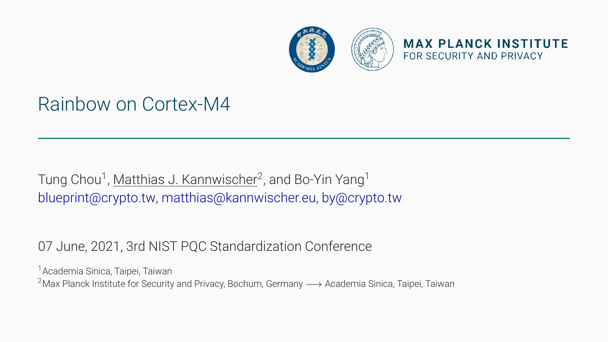

## Rainbow on Cortex-M4

Tung Chou<sup>1</sup>, Matthias J. Kannwischer<sup>2</sup>, and Bo-Yin Yang<sup>1</sup> [blueprint@crypto.tw](mailto:blueprint@crypto.tw), [matthias@kannwischer.eu,](mailto:matthias@kannwischer.eu) [by@crypto.tw](mailto:by@crypto.tw)

#### 07 June, 2021, 3rd NIST PQC Standardization Conference

<sup>1</sup> Academia Sinica, Taipei, Taiwan 2Max Planck Institute for Security and Privacy, Bochum, Germany *−→* Academia Sinica, Taipei, Taiwan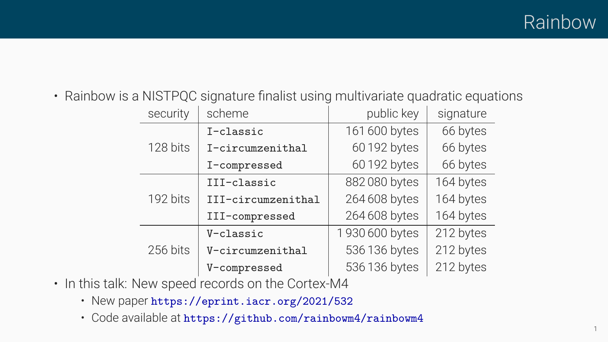• Rainbow is a NISTPQC signature finalist using multivariate quadratic equations

| security | scheme             | public key     | signature |
|----------|--------------------|----------------|-----------|
| 128 bits | I-classic          | 161 600 bytes  | 66 bytes  |
|          | I-circumzenithal   | 60192 bytes    | 66 bytes  |
|          | I-compressed       | 60192 bytes    | 66 bytes  |
| 192 bits | III-classic        | 882080 bytes   | 164 bytes |
|          | III-circumzenithal | 264 608 bytes  | 164 bytes |
|          | III-compressed     | 264 608 bytes  | 164 bytes |
| 256 bits | V-classic          | 1930 600 bytes | 212 bytes |
|          | V-circumzenithal   | 536 136 bytes  | 212 bytes |
|          | V-compressed       | 536 136 bytes  | 212 bytes |

- In this talk: New speed records on the Cortex-M4
	- New paper <https://eprint.iacr.org/2021/532>
	- Code available at <https://github.com/rainbowm4/rainbowm4>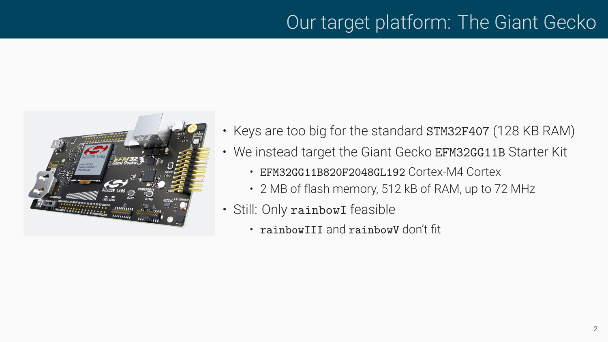# Our target platform: The Giant Gecko



- Keys are too big for the standard STM32F407 (128 KB RAM)
- We instead target the Giant Gecko EFM32GG11B Starter Kit
	- EFM32GG11B820F2048GL192 Cortex-M4 Cortex
	- 2 MB of flash memory, 512 kB of RAM, up to 72 MHz
- Still: Only rainbowI feasible
	- rainbowIII and rainbowV don't fit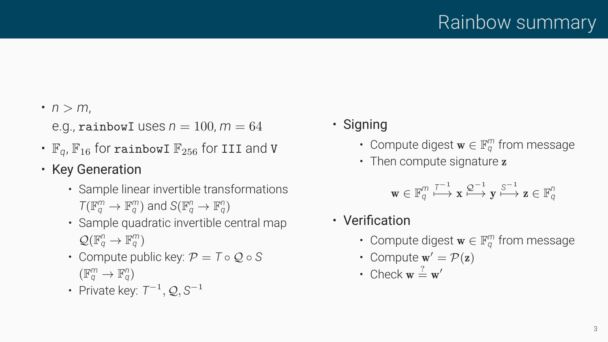$\cdot$  *n* > *m*,

e.g., rainbowI uses  $n = 100$ ,  $m = 64$  • Signing

- $\mathbb{F}_q$ ,  $\mathbb{F}_{16}$  for rainbowI  $\mathbb{F}_{256}$  for III and **V** Compute digest  $\mathbf{w} \in \mathbb{F}_q^m$  from **Fig. 11 ·** Then compute signature **z Key Generation**
- - Sample linear invertible transformations  $\mathcal{T}(\mathbb{F}_q^m \to \mathbb{F}_q^m)$  and  $\mathcal{S}(\mathbb{F}_q^n \to \mathbb{F}_q^n)$
	- Sample quadratic invertible central map Verification  $\mathcal{Q}(\mathbb{F}_q^n \to \mathbb{F}_q^m)$
	- Compute public key:  $P = T \circ Q \circ S$  Compute  $w' = P(z)$  $(\mathbb{F}_q^m \to \mathbb{F}_q^n)$  • Check  $\mathbf{w} \stackrel{?}{=} \mathbf{w}'$
	- Private key: *T−*<sup>1</sup>*, Q, S−*<sup>1</sup>
- - Compute digest w *∈* F*<sup>m</sup>*
	-

$$
\mathbf{w}\in\mathbb{F}_q^m\stackrel{\mathcal{T}^{-1}}{\longmapsto}\mathbf{x}\stackrel{\mathcal{Q}^{-1}}{\longmapsto}\mathbf{y}\stackrel{\mathcal{S}^{-1}}{\longmapsto}\mathbf{z}\in\mathbb{F}_q^n
$$

- 
- *<sup>q</sup>* ) Compute digest w *∈* F*<sup>m</sup> <sup>q</sup>* from message
	-
	-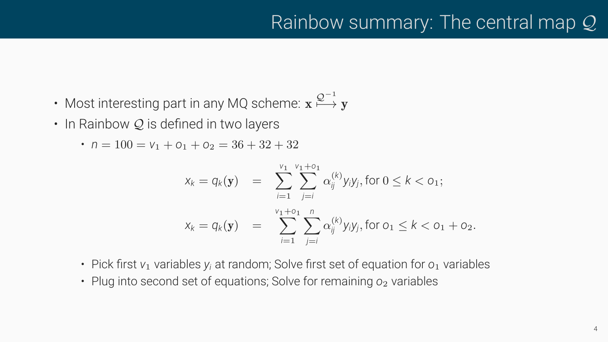- Most interesting part in any MQ scheme:  $\mathbf{x} \overset{\mathcal{Q}^{-1}}{\longrightarrow} \mathbf{y}$
- In Rainbow *Q* is defined in two layers
	- $n = 100 = V_1 + O_1 + O_2 = 36 + 32 + 32$

$$
x_k = q_k(\mathbf{y}) = \sum_{i=1}^{v_1} \sum_{j=i}^{v_1 + o_1} \alpha_{ij}^{(k)} y_i y_j, \text{ for } 0 \le k < o_1;
$$
  

$$
x_k = q_k(\mathbf{y}) = \sum_{i=1}^{v_1 + o_1} \sum_{j=i}^{n} \alpha_{ij}^{(k)} y_i y_j, \text{ for } o_1 \le k < o_1 + o_2.
$$

- Pick first *v*<sub>1</sub> variables *y<sub>i</sub>* at random; Solve first set of equation for  $o_1$  variables
- Plug into second set of equations; Solve for remaining  $o_2$  variables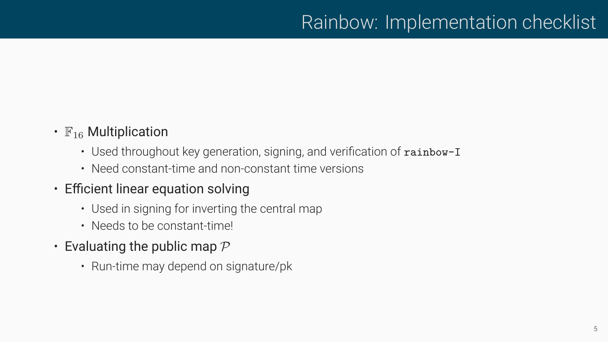- $\mathbb{F}_{16}$  Multiplication
	- Used throughout key generation, signing, and verification of rainbow-I
	- Need constant-time and non-constant time versions
- Efficient linear equation solving
	- Used in signing for inverting the central map
	- Needs to be constant-time!
- Evaluating the public map *P*
	- Run-time may depend on signature/pk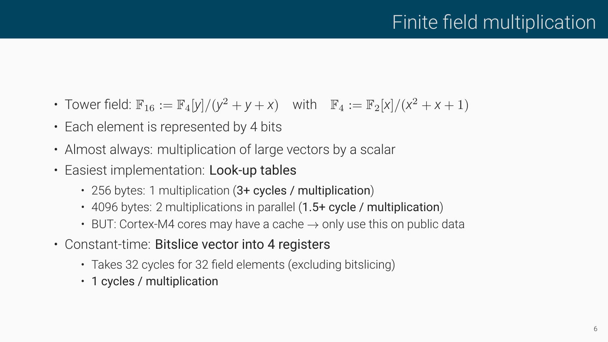- Tower field:  $\mathbb{F}_{16} := \mathbb{F}_{4}[y]/(y^2 + y + x)$  with  $\mathbb{F}_{4} := \mathbb{F}_{2}[x]/(x^2 + x + 1)$
- Each element is represented by 4 bits
- Almost always: multiplication of large vectors by a scalar
- Easiest implementation: Look-up tables
	- 256 bytes: 1 multiplication (3+ cycles / multiplication)
	- 4096 bytes: 2 multiplications in parallel (1.5+ cycle / multiplication)
	- BUT: Cortex-M4 cores may have a cache *→* only use this on public data
- Constant-time: Bitslice vector into 4 registers
	- Takes 32 cycles for 32 field elements (excluding bitslicing)
	- 1 cycles / multiplication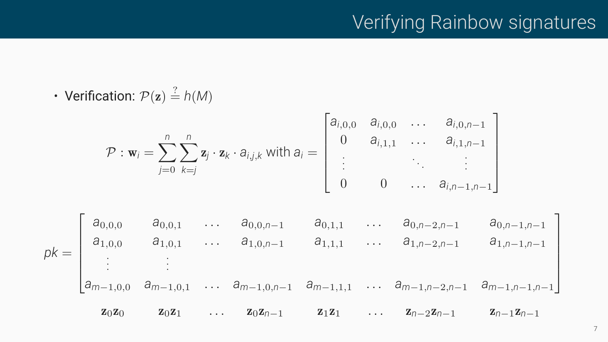## Verifying Rainbow signatures

• Verification:  $P(z) \stackrel{?}{=} h(M)$ 

$$
\mathcal{P} : \mathbf{w}_{i} = \sum_{j=0}^{n} \sum_{k=j}^{n} \mathbf{z}_{j} \cdot \mathbf{z}_{k} \cdot a_{i,j,k} \text{ with } a_{i} = \begin{bmatrix} a_{i,0,0} & a_{i,0,0} & \cdots & a_{i,0,n-1} \\ 0 & a_{i,1,1} & \cdots & a_{i,1,n-1} \\ \vdots & \vdots & \ddots & \vdots \\ 0 & 0 & \cdots & a_{i,n-1,n-1} \end{bmatrix}
$$
  
\n
$$
pk = \begin{bmatrix} a_{0,0,0} & a_{0,0,1} & \cdots & a_{0,0,n-1} & a_{0,1,1} & \cdots & a_{0,n-2,n-1} & a_{0,n-1,n-1} \\ a_{1,0,0} & a_{1,0,1} & \cdots & a_{1,0,n-1} & a_{1,1,1} & \cdots & a_{1,n-2,n-1} & a_{1,n-1,n-1} \\ \vdots & \vdots & \vdots & \vdots & \vdots & \vdots \\ a_{m-1,0,0} & a_{m-1,0,1} & \cdots & a_{m-1,0,n-1} & a_{m-1,1,1} & \cdots & a_{m-1,n-2,n-1} & a_{m-1,n-1,n-1} \end{bmatrix}
$$
  
\n
$$
\mathbf{z}_{0}\mathbf{z}_{0} \qquad \mathbf{z}_{0}\mathbf{z}_{1} \qquad \cdots \qquad \mathbf{z}_{0}\mathbf{z}_{n-1} \qquad \mathbf{z}_{1}\mathbf{z}_{1} \qquad \cdots \qquad \mathbf{z}_{n-2}\mathbf{z}_{n-1} \qquad \mathbf{z}_{n-1}\mathbf{z}_{n-1}
$$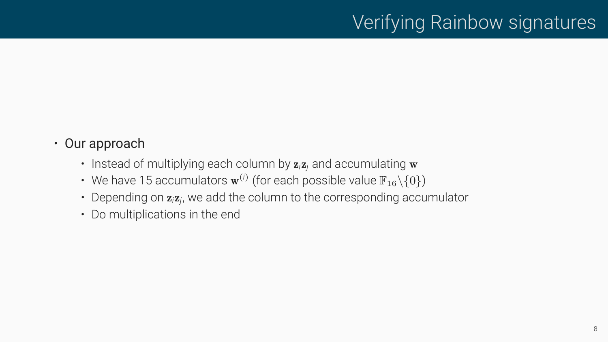## Verifying Rainbow signatures

- Our approach
	- Instead of multiplying each column by z*i*z*<sup>j</sup>* and accumulating w
	- We have 15 accumulators  $\mathbf{w}^{(i)}$  (for each possible value  $\mathbb{F}_{16}\setminus\{0\}$ )
	- Depending on z*i*z*j*, we add the column to the corresponding accumulator
	- Do multiplications in the end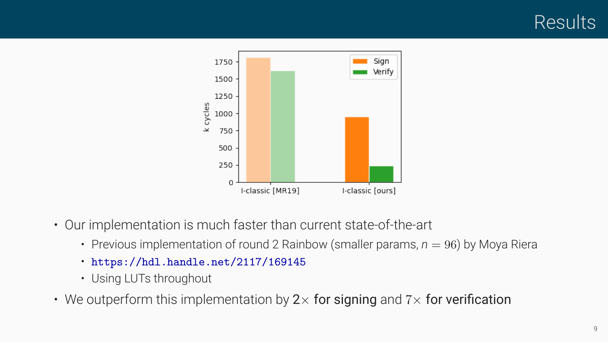

- Our implementation is much faster than current state-of-the-art
	- Previous implementation of round 2 Rainbow (smaller params,  $n = 96$ ) by Moya Riera
	- <https://hdl.handle.net/2117/169145>
	- Using LUTs throughout
- We outperform this implementation by 2*×* for signing and 7*×* for verification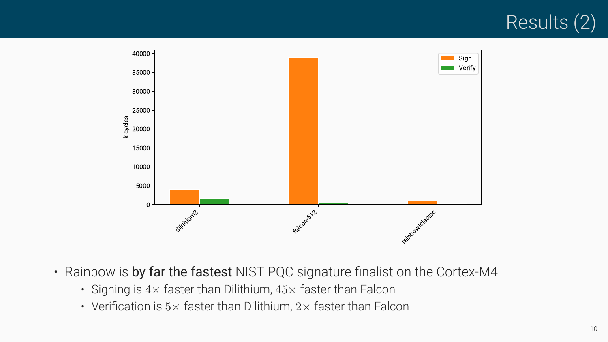



- Rainbow is by far the fastest NIST PQC signature finalist on the Cortex-M4
	- Signing is 4*×* faster than Dilithium, 45*×* faster than Falcon
	- Verification is 5*×* faster than Dilithium, 2*×* faster than Falcon